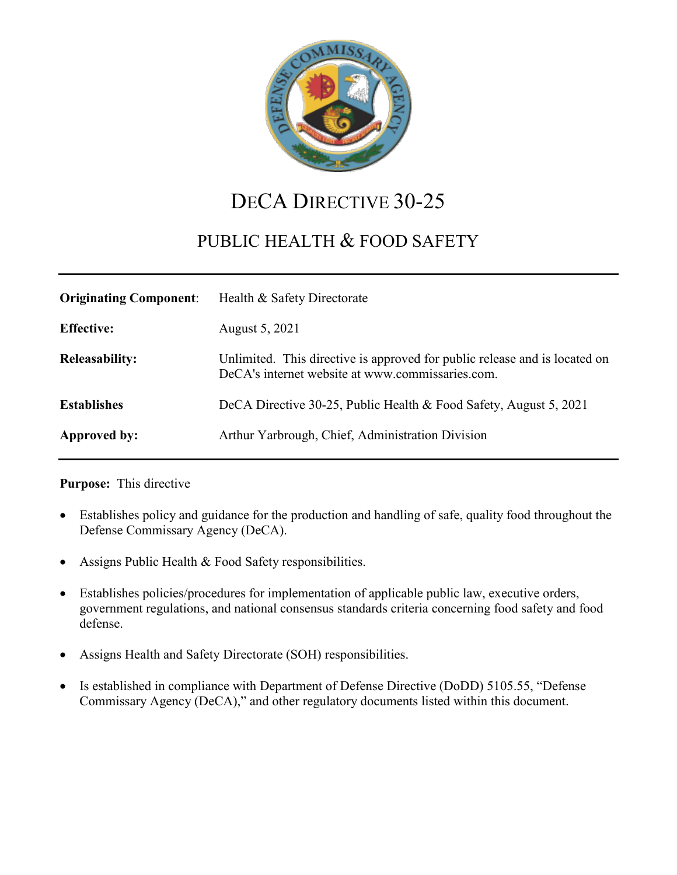

# DECA DIRECTIVE 30-25

## PUBLIC HEALTH & FOOD SAFETY

| <b>Originating Component:</b> | Health & Safety Directorate                                                                                                    |
|-------------------------------|--------------------------------------------------------------------------------------------------------------------------------|
| <b>Effective:</b>             | August 5, 2021                                                                                                                 |
| <b>Releasability:</b>         | Unlimited. This directive is approved for public release and is located on<br>DeCA's internet website at www.commissaries.com. |
| <b>Establishes</b>            | DeCA Directive 30-25, Public Health & Food Safety, August 5, 2021                                                              |
| <b>Approved by:</b>           | Arthur Yarbrough, Chief, Administration Division                                                                               |

#### **Purpose:** This directive

- Establishes policy and guidance for the production and handling of safe, quality food throughout the Defense Commissary Agency (DeCA).
- Assigns Public Health & Food Safety responsibilities.
- Establishes policies/procedures for implementation of applicable public law, executive orders, government regulations, and national consensus standards criteria concerning food safety and food defense.
- Assigns Health and Safety Directorate (SOH) responsibilities.
- Is established in compliance with Department of Defense Directive (DoDD) 5105.55, "Defense Commissary Agency (DeCA)," and other regulatory documents listed within this document.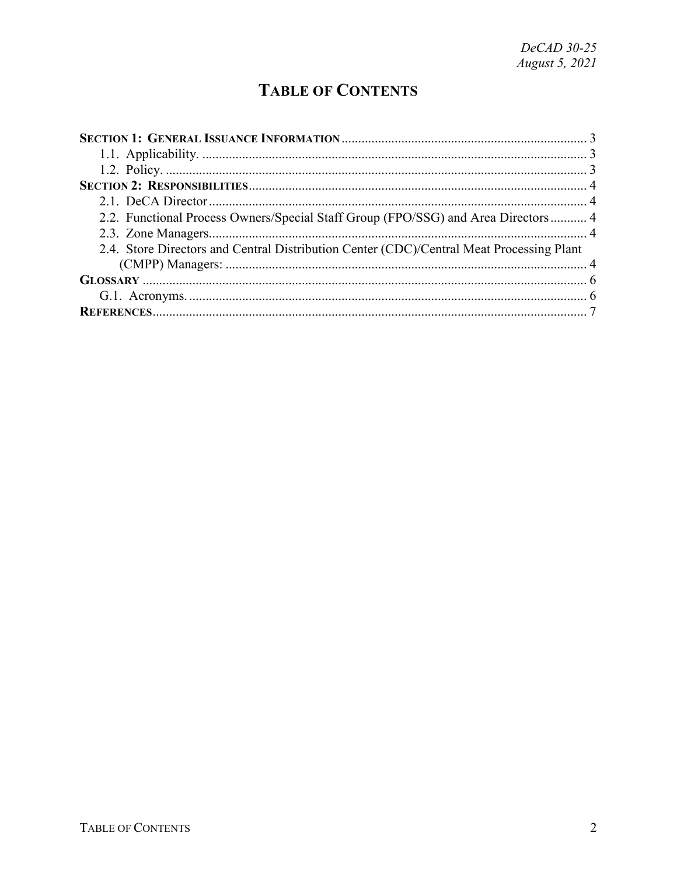## **TABLE OF CONTENTS**

| 2.2. Functional Process Owners/Special Staff Group (FPO/SSG) and Area Directors 4        |  |
|------------------------------------------------------------------------------------------|--|
|                                                                                          |  |
| 2.4. Store Directors and Central Distribution Center (CDC)/Central Meat Processing Plant |  |
|                                                                                          |  |
|                                                                                          |  |
|                                                                                          |  |
|                                                                                          |  |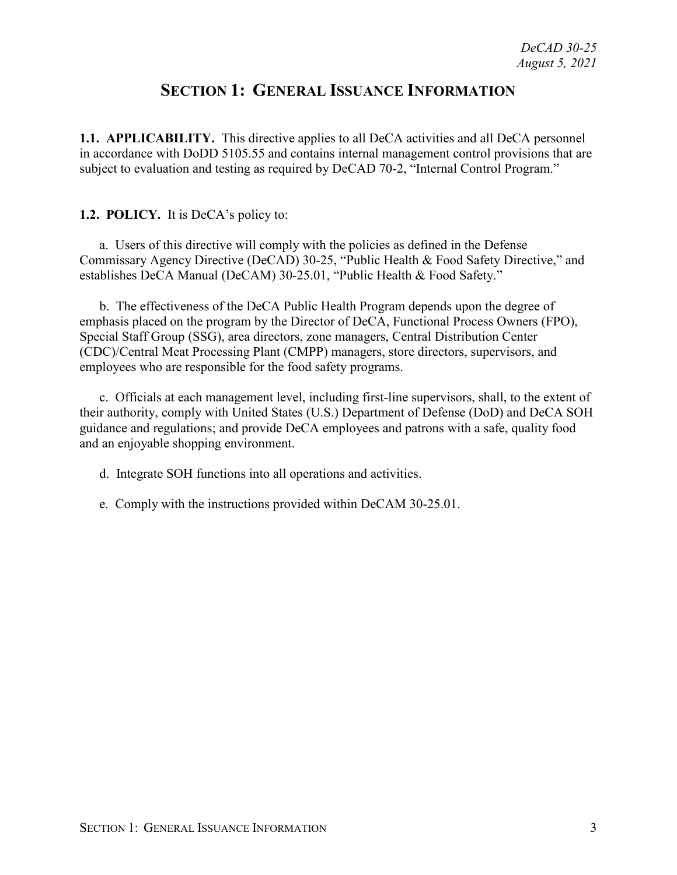## **SECTION 1: GENERAL ISSUANCE INFORMATION**

<span id="page-2-1"></span><span id="page-2-0"></span>**1.1. APPLICABILITY.** This directive applies to all DeCA activities and all DeCA personnel in accordance with DoDD 5105.55 and contains internal management control provisions that are subject to evaluation and testing as required by DeCAD 70-2, "Internal Control Program."

#### <span id="page-2-2"></span>**1.2. POLICY.** It is DeCA's policy to:

a. Users of this directive will comply with the policies as defined in the Defense Commissary Agency Directive (DeCAD) 30-25, "Public Health & Food Safety Directive," and establishes DeCA Manual (DeCAM) 30-25.01, "Public Health & Food Safety."

b. The effectiveness of the DeCA Public Health Program depends upon the degree of emphasis placed on the program by the Director of DeCA, Functional Process Owners (FPO), Special Staff Group (SSG), area directors, zone managers, Central Distribution Center (CDC)/Central Meat Processing Plant (CMPP) managers, store directors, supervisors, and employees who are responsible for the food safety programs.

c. Officials at each management level, including first-line supervisors, shall, to the extent of their authority, comply with United States (U.S.) Department of Defense (DoD) and DeCA SOH guidance and regulations; and provide DeCA employees and patrons with a safe, quality food and an enjoyable shopping environment.

d. Integrate SOH functions into all operations and activities.

e. Comply with the instructions provided within DeCAM 30-25.01.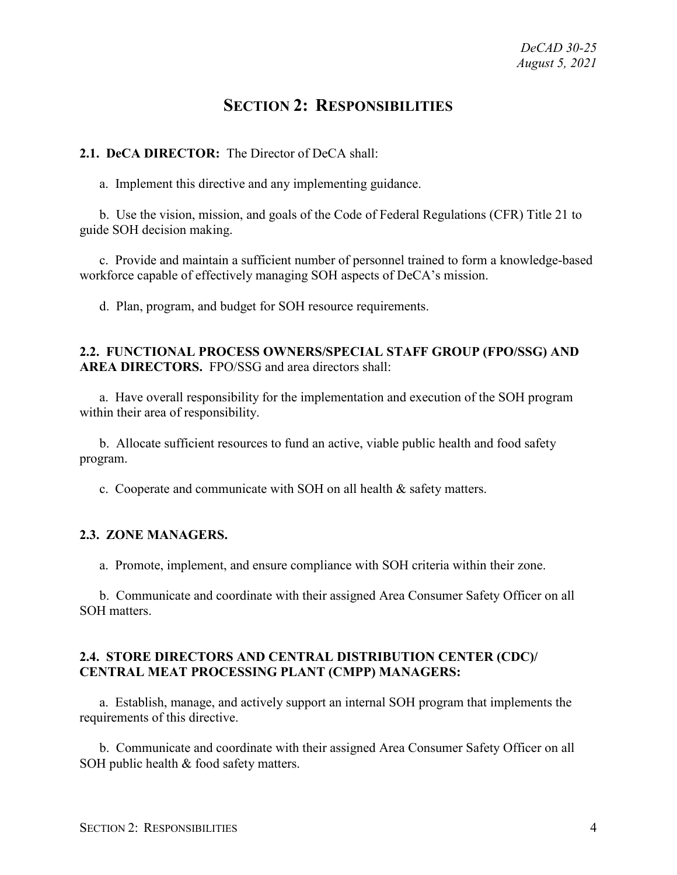## **SECTION 2: RESPONSIBILITIES**

<span id="page-3-1"></span><span id="page-3-0"></span>**2.1. DeCA DIRECTOR:** The Director of DeCA shall:

a. Implement this directive and any implementing guidance.

b. Use the vision, mission, and goals of the Code of Federal Regulations (CFR) Title 21 to guide SOH decision making.

c. Provide and maintain a sufficient number of personnel trained to form a knowledge-based workforce capable of effectively managing SOH aspects of DeCA's mission.

d. Plan, program, and budget for SOH resource requirements.

#### <span id="page-3-2"></span>**2.2. FUNCTIONAL PROCESS OWNERS/SPECIAL STAFF GROUP (FPO/SSG) AND AREA DIRECTORS.** FPO/SSG and area directors shall:

a. Have overall responsibility for the implementation and execution of the SOH program within their area of responsibility.

b. Allocate sufficient resources to fund an active, viable public health and food safety program.

c. Cooperate and communicate with SOH on all health & safety matters.

#### <span id="page-3-3"></span>**2.3. ZONE MANAGERS.**

a. Promote, implement, and ensure compliance with SOH criteria within their zone.

b. Communicate and coordinate with their assigned Area Consumer Safety Officer on all SOH matters.

#### <span id="page-3-5"></span><span id="page-3-4"></span>**2.4. STORE DIRECTORS AND CENTRAL DISTRIBUTION CENTER (CDC)/ CENTRAL MEAT PROCESSING PLANT (CMPP) MANAGERS:**

a. Establish, manage, and actively support an internal SOH program that implements the requirements of this directive.

b. Communicate and coordinate with their assigned Area Consumer Safety Officer on all SOH public health & food safety matters.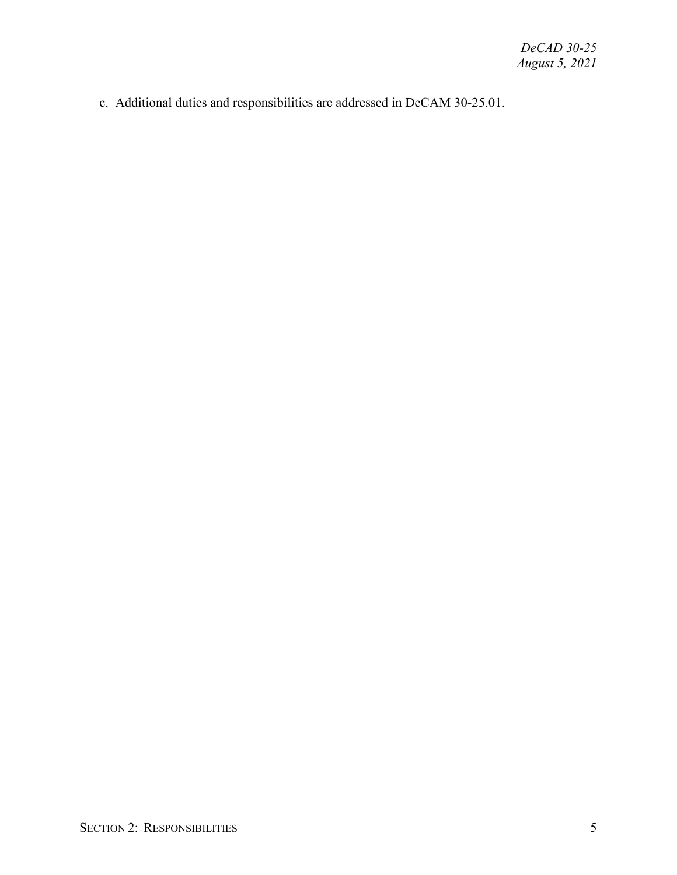c. Additional duties and responsibilities are addressed in DeCAM 30-25.01.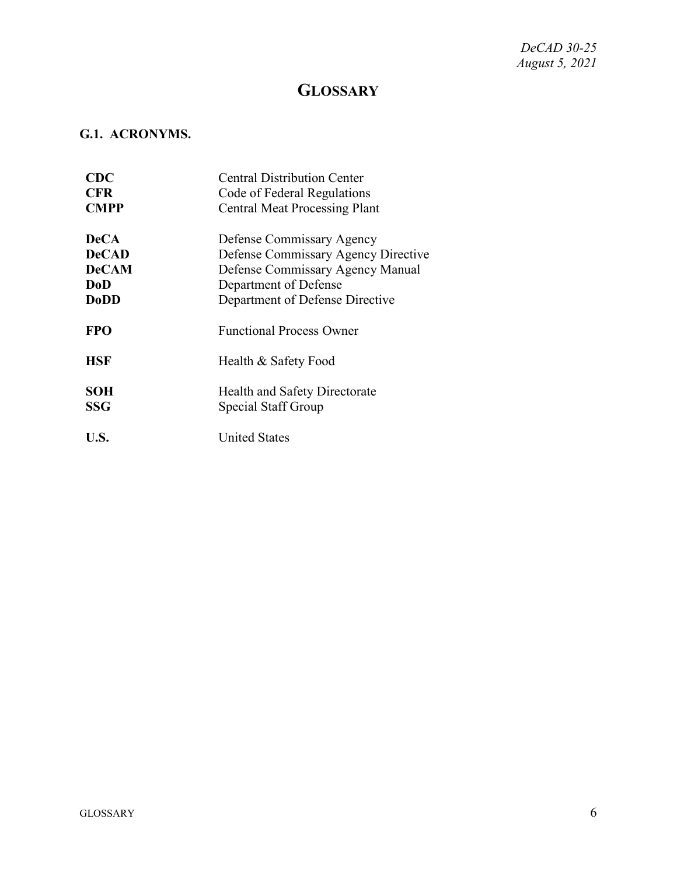*DeCAD 30-25 August 5, 2021*

## **GLOSSARY**

### <span id="page-5-1"></span><span id="page-5-0"></span>**G.1. ACRONYMS.**

| CDC               | <b>Central Distribution Center</b>                   |
|-------------------|------------------------------------------------------|
| <b>CFR</b>        | Code of Federal Regulations                          |
| <b>CMPP</b>       | <b>Central Meat Processing Plant</b>                 |
| <b>DeCA</b>       | Defense Commissary Agency                            |
| <b>DeCAD</b>      | Defense Commissary Agency Directive                  |
| <b>DeCAM</b>      | Defense Commissary Agency Manual                     |
| DoD               | Department of Defense                                |
| <b>DoDD</b>       | Department of Defense Directive                      |
| <b>FPO</b>        | <b>Functional Process Owner</b>                      |
| <b>HSF</b>        | Health & Safety Food                                 |
| <b>SOH</b><br>SSG | Health and Safety Directorate<br>Special Staff Group |
| U.S.              | <b>United States</b>                                 |